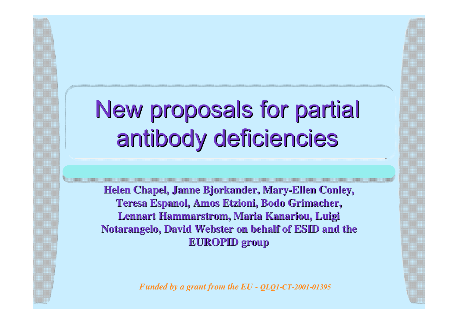## New proposals for partial antibody deficiencies

**Helen Chapel, Janne Bjorkander, Mary-Ellen Conley, Teresa Espanol, Amos Etzioni, Bodo Grimacher, Lennart Hammarstrom, Maria Kanariou, Luigi Notarangelo, David Webster on behalf of ESID and the EUROPID group**

*Funded by a grant from the EU - QLQ1-CT-2001-01395*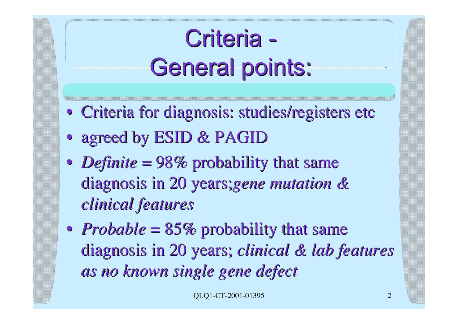# Criteria -General points:

- Criteria for diagnosis: studies/registers etc
- agreed by ESID & PAGID
- *Definite* = 98% probability that same diagnosis in 20 years;*gene mutation & clinical features*
- *Probable*  $= 85\%$  probability that same diagnosis in 20 years; *clinical clinical & lab features features as no known single gene defect*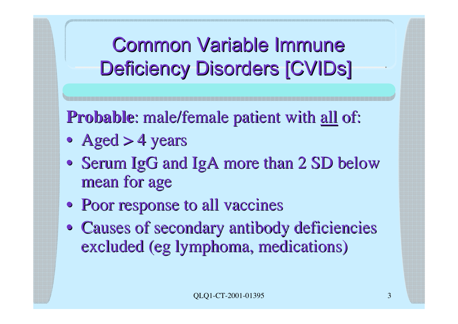Common Variable Immune Deficiency Disorders [CVIDs]

**Probable:** male/female patient with all of:

- Aged  $>$  4 years
- Serum IgG and IgA more than 2 SD below mean for age
- Poor response to all vaccines
- Causes of secondary antibody deficiencies excluded (eg lymphoma, medications)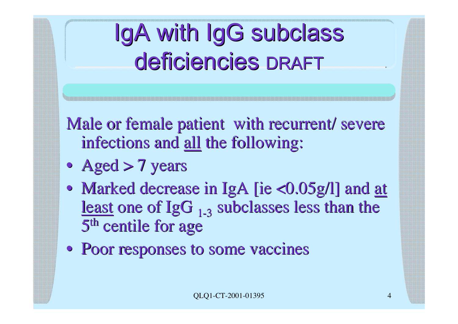# IgA with IgG subclass deficiencies deficiencies DRAFT

Male or female patient with recurrent/ severe infections and all the following:

- Aged > 7 years
- Marked decrease in IgA [ie  $\langle 0.05g/l]$  and at least one of  $IgG_{1,3}$  subclasses less than the 5<sup>th</sup> centile for age
- Poor responses to some vaccines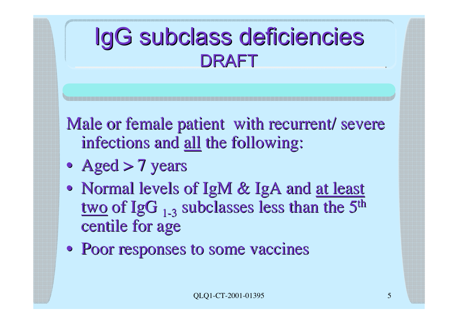## IgG subclass deficiencies DRAFT

Male or female patient with recurrent/ severe infections and all the following:

- Aged > 7 years
- Normal levels of IgM & IgA and at least two of IgG  $_{1-3}$  subclasses less than the  $\overline{5}$ <sup>th</sup> centile for age
- Poor responses to some vaccines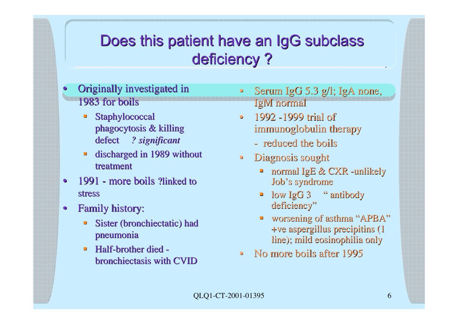### Does this patient have an IgG subclass deficiency?

- Originally investigated in 1983 for boils
	- **Staphylococcal** phagocytosis  $&$  killing defect defect *? significant ? significant*
	- $\blacksquare$  discharged in 1989 without treatment
- 1991 more boils ?linked to ?linked to stress
- Family history:
	- Sister (bronchiectatic) had pneumonia
	- $\blacksquare$  Half-brother died bronchiectasis with CVID
- Serum IgG 5.3 g/l; IgA none, IgM normal
- 1992 -1999 trial of immunoglobulin therapy
	- reduced the boils reduced the boils
- Diagnosis sought
	- **normal IgE & CXR -unlikely** Job's syndrome
	- low IgG 3 " antibody deficiency"
	- worsening of asthma "APBA" +ve aspergillus precipitins  $(1$ line); mild eosinophilia only
- No more boils after 1995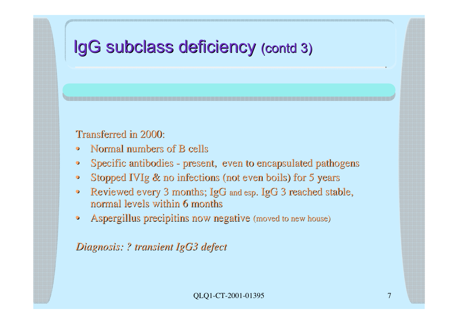### IgG subclass deficiency (contd 3)

Transferred in 2000:

- Normal numbers of B cells
- Specific antibodies present, even to encapsulated pathogens
- Stopped IVIg & no infections (not even boils) for 5 years
- Reviewed every 3 months; IgG and esp. IgG 3 reached stable, normal levels within 6 months
- Aspergillus precipitins now negative (moved to new house)

*Diagnosis: ? transient IgG3 defect*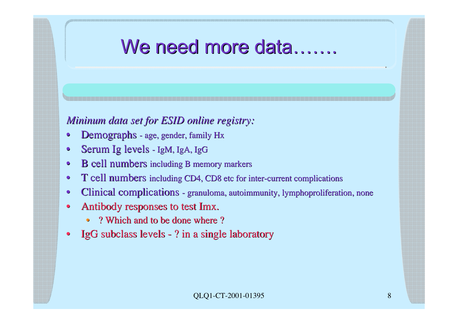### We need more data….

#### *Mininum data set for ESID online registry:*

- Demographs age, gender, family Hx
- Serum Ig levels IgM, IgA, IgG
- B cell numbers including B memory markers
- T cell numbers including CD4, CD8 etc for inter-current complications
- Clinical complications granuloma, autoimmunity, lymphoproliferation, none
- Antibody responses to test Imx.
	- ? Which and to be done where ?
- IgG subclass levels ? in a single laboratory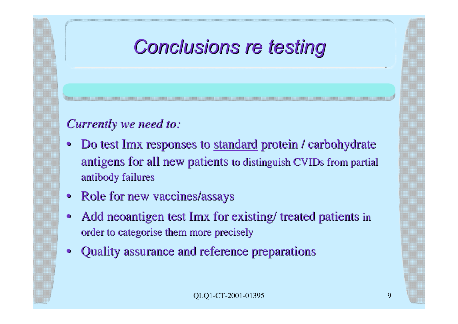## *Conclusions re testing Conclusions re testing*

#### *Currently we need to: Currently we need to:*

- Do test Imx responses to standard protein / carbohydrate antigens for all new patients to distinguish CVIDs from partial antibody failures
- Role for new vaccines/assays
- Add neoantigen test Imx for existing/ treated patients in order to categorise them more precisely
- Quality assurance and reference preparations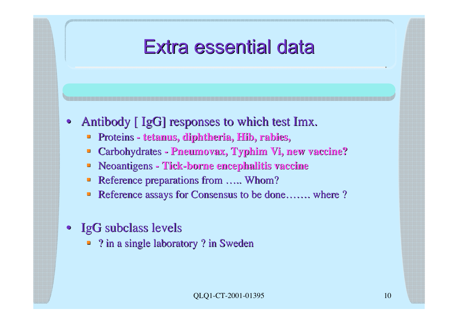### Extra essential data

- Antibody [ IgG] responses to which test Imx.
	- $\blacksquare$  Proteins tetanus, diphtheria, Hib, rabies,
	- **Example 2 Carbohydrates Pneumovax, Typhim Vi, new vaccine?**
	- **Example 1 Neoantigens Tick-borne encephalitis vaccine**
	- Reference preparations from ….. Whom?
	- Reference assays for Consensus to be done……. where ?
- **IgG** subclass levels
	- $\blacksquare$  ? in a single laboratory ? in Sweden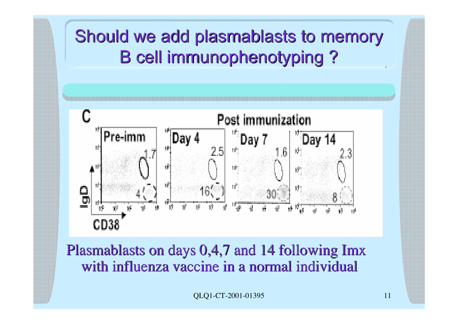### Should we add plasmablasts to memory **B cell immunophenotyping ?**



Plasmablasts on days 0,4,7 and 14 following Imx with influenza vaccine in a normal individual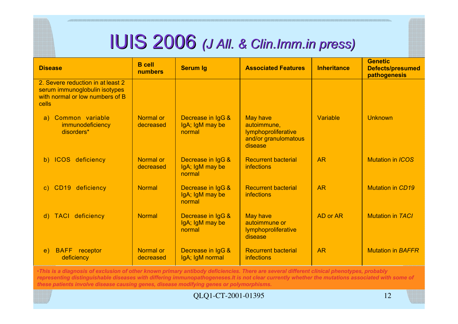## IUIS 2006 *(J All. & Clin.Imm.in press)*

| <b>Disease</b>                                                                                                 | <b>B</b> cell<br>numbers | <b>Serum Ig</b>                                | <b>Associated Features</b>                                                               | <b>Inheritance</b> | <b>Genetic</b><br><b>Defects/presumed</b><br>pathogenesis |
|----------------------------------------------------------------------------------------------------------------|--------------------------|------------------------------------------------|------------------------------------------------------------------------------------------|--------------------|-----------------------------------------------------------|
| 2. Severe reduction in at least 2<br>serum immunoglobulin isotypes<br>with normal or low numbers of B<br>cells |                          |                                                |                                                                                          |                    |                                                           |
| Common variable<br>a)<br>immunodeficiency<br>disorders*                                                        | Normal or<br>decreased   | Decrease in IgG &<br>IgA; IgM may be<br>normal | <b>May have</b><br>autoimmune,<br>lymphoproliferative<br>and/or granulomatous<br>disease | Variable           | <b>Unknown</b>                                            |
| b) ICOS deficiency                                                                                             | Normal or<br>decreased   | Decrease in IgG &<br>IgA; IgM may be<br>normal | <b>Recurrent bacterial</b><br><b>infections</b>                                          | <b>AR</b>          | <b>Mutation in ICOS</b>                                   |
| c) CD19 deficiency                                                                                             | <b>Normal</b>            | Decrease in IgG &<br>IgA; IgM may be<br>normal | <b>Recurrent bacterial</b><br><b>infections</b>                                          | <b>AR</b>          | <b>Mutation in CD19</b>                                   |
| d) TACI deficiency                                                                                             | <b>Normal</b>            | Decrease in IgG &<br>IgA; IgM may be<br>normal | <b>May have</b><br>autoimmune or<br><b>lymphoproliferative</b><br>disease                | AD or AR           | <b>Mutation in TACI</b>                                   |
| <b>BAFF</b> receptor<br>$\epsilon$ )<br>deficiency                                                             | Normal or<br>decreased   | Decrease in IgG &<br>IgA; IgM normal           | <b>Recurrent bacterial</b><br><b>infections</b>                                          | <b>AR</b>          | <b>Mutation in BAFFR</b>                                  |

•*This is a diagnosis of exclusion of other known primary antibody deficiencies. There are several different clinical phenotypes, probably representing distinguishable diseases with differing immunopathogeneses.It is not clear currently whether the mutations associated with some of these patients involve disease causing genes, disease modifying genes or polymorphisms.*